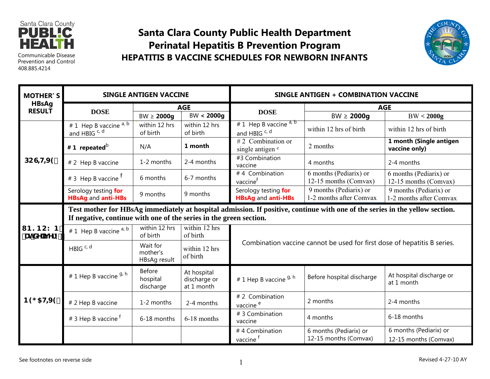

Communicable Disease Prevention and Control408.885.4214

## **Santa Clara County Public Health DepartmentPerinatal Hepatitis B Prevention Program HEPATITIS B VACCINE SCHEDULES FOR NEWBORN INFANTS**



| <b>MOTHER'S</b><br><b>HBsAg</b><br><b>RESULT</b> | <b>SINGLE ANTIGEN VACCINE</b>                                                                                                                                                                      |                                      |                                           | SINGLE ANTIGEN + COMBINATION VACCINE                                     |                                                   |                                                   |
|--------------------------------------------------|----------------------------------------------------------------------------------------------------------------------------------------------------------------------------------------------------|--------------------------------------|-------------------------------------------|--------------------------------------------------------------------------|---------------------------------------------------|---------------------------------------------------|
|                                                  | <b>DOSE</b>                                                                                                                                                                                        | <b>AGE</b>                           |                                           |                                                                          | <b>AGE</b>                                        |                                                   |
|                                                  |                                                                                                                                                                                                    | $BW \ge 2000g$                       | BW < 2000g                                | <b>DOSE</b>                                                              | $BW \ge 2000g$                                    | BW < 2000g                                        |
| DCGHH9                                           | # 1 Hep B vaccine a, b<br>and HBIG c, d                                                                                                                                                            | within 12 hrs<br>of birth            | within 12 hrs<br>of birth                 | # 1 Hep B vaccine $a, b$<br>and HBIG <sup>c, d</sup>                     | within 12 hrs of birth                            | within 12 hrs of birth                            |
|                                                  | #1 repeated $^{\rm b}$                                                                                                                                                                             | N/A                                  | 1 month                                   | #2 Combination or<br>single antigen <sup>e</sup>                         | 2 months                                          | 1 month (Single antigen<br>vaccine only)          |
|                                                  | # 2 Hep B vaccine                                                                                                                                                                                  | 1-2 months                           | 2-4 months                                | #3 Combination<br>vaccine                                                | 4 months                                          | 2-4 months                                        |
|                                                  | # 3 Hep B vaccine <sup>T</sup>                                                                                                                                                                     | 6 months                             | 6-7 months                                | #4 Combination<br>vaccine <sup>t</sup>                                   | 6 months (Pediarix) or<br>12-15 months (Comvax)   | 6 months (Pediarix) or<br>12-15 months (Comvax)   |
|                                                  | Serology testing for<br><b>HBsAg and anti-HBs</b>                                                                                                                                                  | 9 months                             | 9 months                                  | Serology testing for<br><b>HBsAg and anti-HBs</b>                        | 9 months (Pediarix) or<br>1-2 months after Comvax | 9 months (Pediarix) or<br>1-2 months after Comvax |
|                                                  | Test mother for HBsAg immediately at hospital admission. If positive, continue with one of the series in the yellow section.<br>If negative, continue with one of the series in the green section. |                                      |                                           |                                                                          |                                                   |                                                   |
| <b>B?BCKB</b><br>f <b>UhXY</b> jj Yfnki          | # 1 Hep B vaccine a, b                                                                                                                                                                             | within 12 hrs<br>of birth            | within 12 hrs<br>of birth                 | Combination vaccine cannot be used for first dose of hepatitis B series. |                                                   |                                                   |
|                                                  | HBIG <sup>C, d</sup>                                                                                                                                                                               | Wait for<br>mother's<br>HBsAg result | within 12 hrs<br>of birth                 |                                                                          |                                                   |                                                   |
| B9 5H9                                           | # 1 Hep B vaccine <sup>g, h</sup>                                                                                                                                                                  | Before<br>hospital<br>discharge      | At hospital<br>discharge or<br>at 1 month | # 1 Hep B vaccine 9, h                                                   | Before hospital discharge                         | At hospital discharge or<br>at 1 month            |
|                                                  | # 2 Hep B vaccine                                                                                                                                                                                  | 1-2 months                           | 2-4 months                                | # 2 Combination<br>vaccine <sup>e</sup>                                  | 2 months                                          | 2-4 months                                        |
|                                                  | # 3 Hep B vaccine <sup>f</sup>                                                                                                                                                                     | 6-18 months                          | 6-18 months                               | # 3 Combination<br>vaccine                                               | 4 months                                          | 6-18 months                                       |
|                                                  |                                                                                                                                                                                                    |                                      |                                           | #4 Combination<br>vaccine <sup>f</sup>                                   | 6 months (Pediarix) or<br>12-15 months (Comvax)   | 6 months (Pediarix) or<br>12-15 months (Comvax)   |